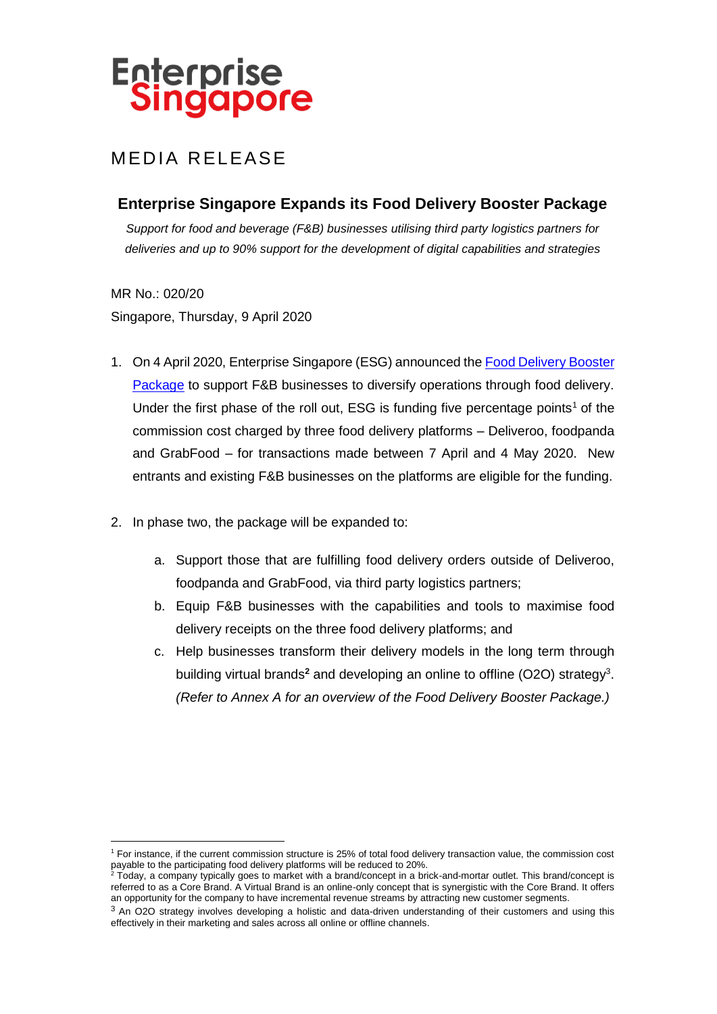# **Enterprise<br>Singapore**

## MEDIA RELEASE

## **Enterprise Singapore Expands its Food Delivery Booster Package**

*Support for food and beverage (F&B) businesses utilising third party logistics partners for deliveries and up to 90% support for the development of digital capabilities and strategies*

MR No.: 020/20 Singapore, Thursday, 9 April 2020

- 1. On 4 April 2020, Enterprise Singapore (ESG) announced the Food Delivery Booster [Package](https://www.enterprisesg.gov.sg/fooddeliverybooster) to support F&B businesses to diversify operations through food delivery. Under the first phase of the roll out, ESG is funding five percentage points<sup>1</sup> of the commission cost charged by three food delivery platforms – Deliveroo, foodpanda and GrabFood – for transactions made between 7 April and 4 May 2020. New entrants and existing F&B businesses on the platforms are eligible for the funding.
- 2. In phase two, the package will be expanded to:
	- a. Support those that are fulfilling food delivery orders outside of Deliveroo, foodpanda and GrabFood, via third party logistics partners;
	- b. Equip F&B businesses with the capabilities and tools to maximise food delivery receipts on the three food delivery platforms; and
	- c. Help businesses transform their delivery models in the long term through building virtual brands<sup>2</sup> and developing an online to offline (O2O) strategy<sup>3</sup>. *(Refer to Annex A for an overview of the Food Delivery Booster Package.)*

 $\overline{a}$ <sup>1</sup> For instance, if the current commission structure is 25% of total food delivery transaction value, the commission cost payable to the participating food delivery platforms will be reduced to 20%.

<sup>2</sup> Today, a company typically goes to market with a brand/concept in a brick-and-mortar outlet. This brand/concept is referred to as a Core Brand. A Virtual Brand is an online-only concept that is synergistic with the Core Brand. It offers an opportunity for the company to have incremental revenue streams by attracting new customer segments.

<sup>&</sup>lt;sup>3</sup> An O2O strategy involves developing a holistic and data-driven understanding of their customers and using this effectively in their marketing and sales across all online or offline channels.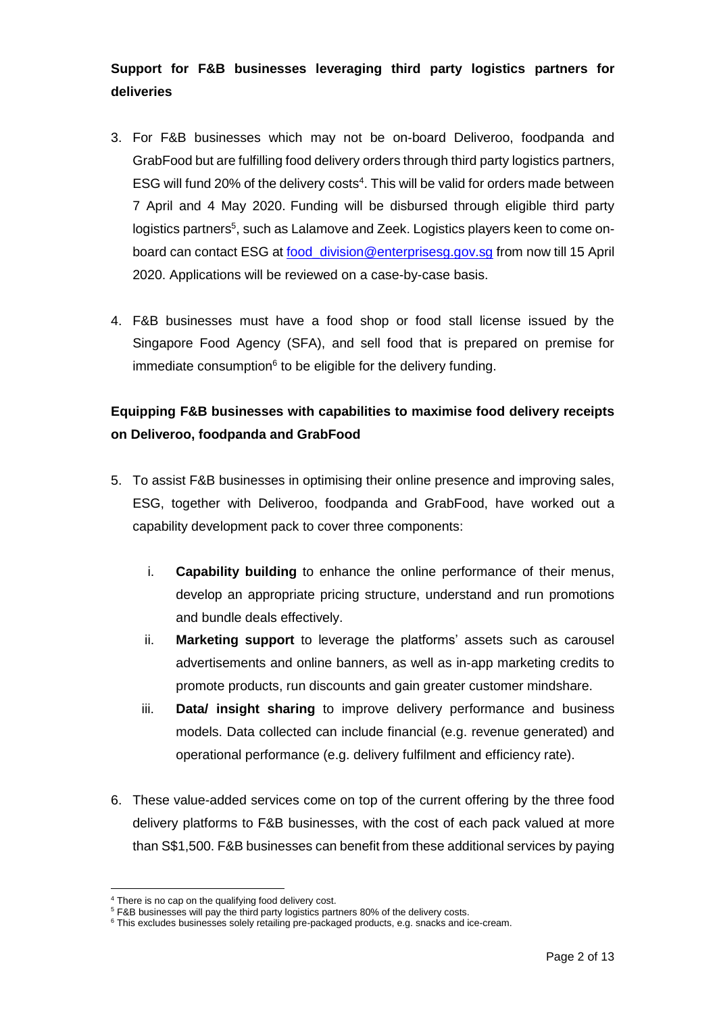## **Support for F&B businesses leveraging third party logistics partners for deliveries**

- 3. For F&B businesses which may not be on-board Deliveroo, foodpanda and GrabFood but are fulfilling food delivery orders through third party logistics partners, ESG will fund 20% of the delivery costs $4$ . This will be valid for orders made between 7 April and 4 May 2020. Funding will be disbursed through eligible third party logistics partners<sup>5</sup>, such as Lalamove and Zeek. Logistics players keen to come onboard can contact ESG at [food\\_division@enterprisesg.gov.sg](mailto:food_division@enterprisesg.gov.sg) from now till 15 April 2020. Applications will be reviewed on a case-by-case basis.
- 4. F&B businesses must have a food shop or food stall license issued by the Singapore Food Agency (SFA), and sell food that is prepared on premise for immediate consumption<sup>6</sup> to be eligible for the delivery funding.

## **Equipping F&B businesses with capabilities to maximise food delivery receipts on Deliveroo, foodpanda and GrabFood**

- 5. To assist F&B businesses in optimising their online presence and improving sales, ESG, together with Deliveroo, foodpanda and GrabFood, have worked out a capability development pack to cover three components:
	- i. **Capability building** to enhance the online performance of their menus, develop an appropriate pricing structure, understand and run promotions and bundle deals effectively.
	- ii. **Marketing support** to leverage the platforms' assets such as carousel advertisements and online banners, as well as in-app marketing credits to promote products, run discounts and gain greater customer mindshare.
	- iii. **Data/ insight sharing** to improve delivery performance and business models. Data collected can include financial (e.g. revenue generated) and operational performance (e.g. delivery fulfilment and efficiency rate).
- 6. These value-added services come on top of the current offering by the three food delivery platforms to F&B businesses, with the cost of each pack valued at more than S\$1,500. F&B businesses can benefit from these additional services by paying

 $\overline{a}$ 

<sup>&</sup>lt;sup>4</sup> There is no cap on the qualifying food delivery cost.

<sup>5</sup> F&B businesses will pay the third party logistics partners 80% of the delivery costs.

<sup>&</sup>lt;sup>6</sup> This excludes businesses solely retailing pre-packaged products, e.g. snacks and ice-cream.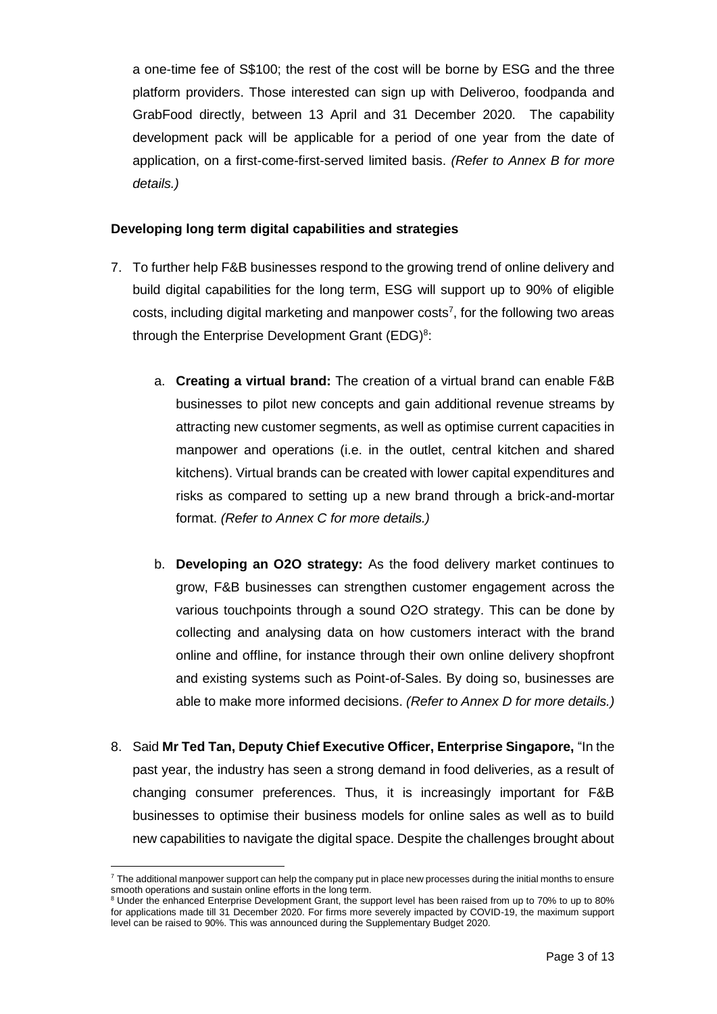a one-time fee of S\$100; the rest of the cost will be borne by ESG and the three platform providers. Those interested can sign up with Deliveroo, foodpanda and GrabFood directly, between 13 April and 31 December 2020. The capability development pack will be applicable for a period of one year from the date of application, on a first-come-first-served limited basis. *(Refer to Annex B for more details.)*

## **Developing long term digital capabilities and strategies**

- 7. To further help F&B businesses respond to the growing trend of online delivery and build digital capabilities for the long term, ESG will support up to 90% of eligible costs, including digital marketing and manpower costs<sup>7</sup>, for the following two areas through the Enterprise Development Grant (EDG) $^8$ :
	- a. **Creating a virtual brand:** The creation of a virtual brand can enable F&B businesses to pilot new concepts and gain additional revenue streams by attracting new customer segments, as well as optimise current capacities in manpower and operations (i.e. in the outlet, central kitchen and shared kitchens). Virtual brands can be created with lower capital expenditures and risks as compared to setting up a new brand through a brick-and-mortar format. *(Refer to Annex C for more details.)*
	- b. **Developing an O2O strategy:** As the food delivery market continues to grow, F&B businesses can strengthen customer engagement across the various touchpoints through a sound O2O strategy. This can be done by collecting and analysing data on how customers interact with the brand online and offline, for instance through their own online delivery shopfront and existing systems such as Point-of-Sales. By doing so, businesses are able to make more informed decisions. *(Refer to Annex D for more details.)*
- 8. Said **Mr Ted Tan, Deputy Chief Executive Officer, Enterprise Singapore,** "In the past year, the industry has seen a strong demand in food deliveries, as a result of changing consumer preferences. Thus, it is increasingly important for F&B businesses to optimise their business models for online sales as well as to build new capabilities to navigate the digital space. Despite the challenges brought about

 $\overline{a}$  $7$  The additional manpower support can help the company put in place new processes during the initial months to ensure smooth operations and sustain online efforts in the long term.

<sup>8</sup> Under the enhanced Enterprise Development Grant, the support level has been raised from up to 70% to up to 80% for applications made till 31 December 2020. For firms more severely impacted by COVID-19, the maximum support level can be raised to 90%. This was announced during the Supplementary Budget 2020.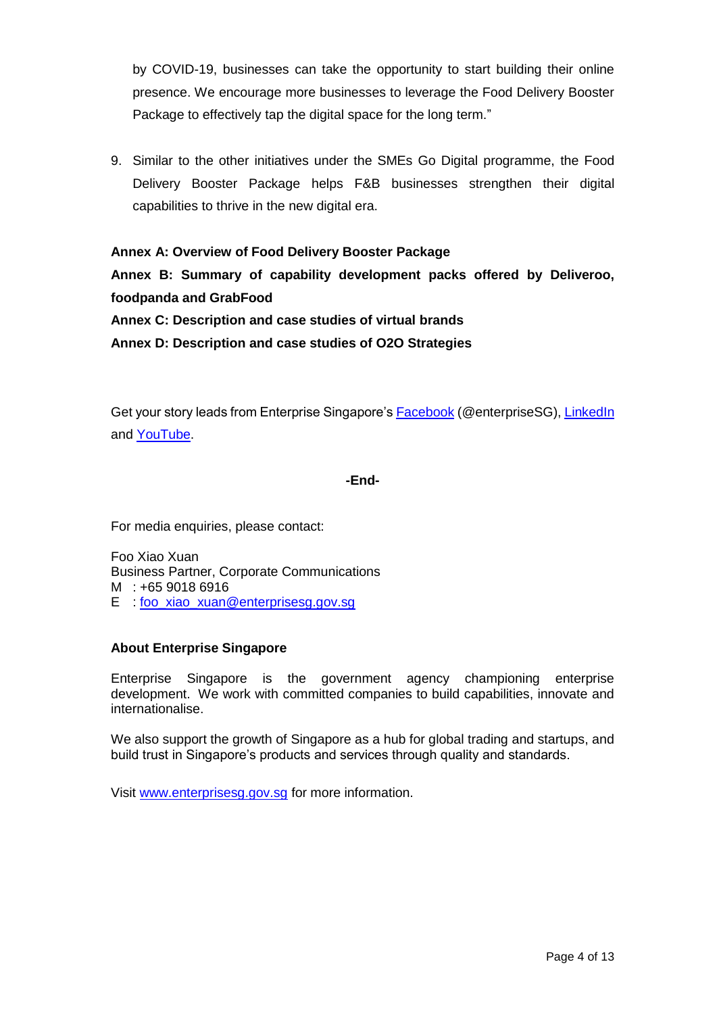by COVID-19, businesses can take the opportunity to start building their online presence. We encourage more businesses to leverage the Food Delivery Booster Package to effectively tap the digital space for the long term."

9. Similar to the other initiatives under the SMEs Go Digital programme, the Food Delivery Booster Package helps F&B businesses strengthen their digital capabilities to thrive in the new digital era.

## **Annex A: Overview of Food Delivery Booster Package**

**Annex B: Summary of capability development packs offered by Deliveroo, foodpanda and GrabFood**

**Annex C: Description and case studies of virtual brands** 

**Annex D: Description and case studies of O2O Strategies** 

Get your story leads from Enterprise Singapore's [Facebook](https://www.facebook.com/enterprisesg) (@enterpriseSG), [LinkedIn](https://www.linkedin.com/company/enterprisesg) and [YouTube.](https://www.youtube.com/enterprisesingapore)

## **-End-**

For media enquiries, please contact:

Foo Xiao Xuan Business Partner, Corporate Communications M : +65 9018 6916 E : [foo\\_xiao\\_xuan@enterprisesg.gov.sg](mailto:foo_xiao_xuan@enterprisesg.gov.sg)

## **About Enterprise Singapore**

Enterprise Singapore is the government agency championing enterprise development. We work with committed companies to build capabilities, innovate and internationalise.

We also support the growth of Singapore as a hub for global trading and startups, and build trust in Singapore's products and services through quality and standards.

Visit [www.enterprisesg.gov.sg](http://www.enterprisesg.gov.sg/) for more information.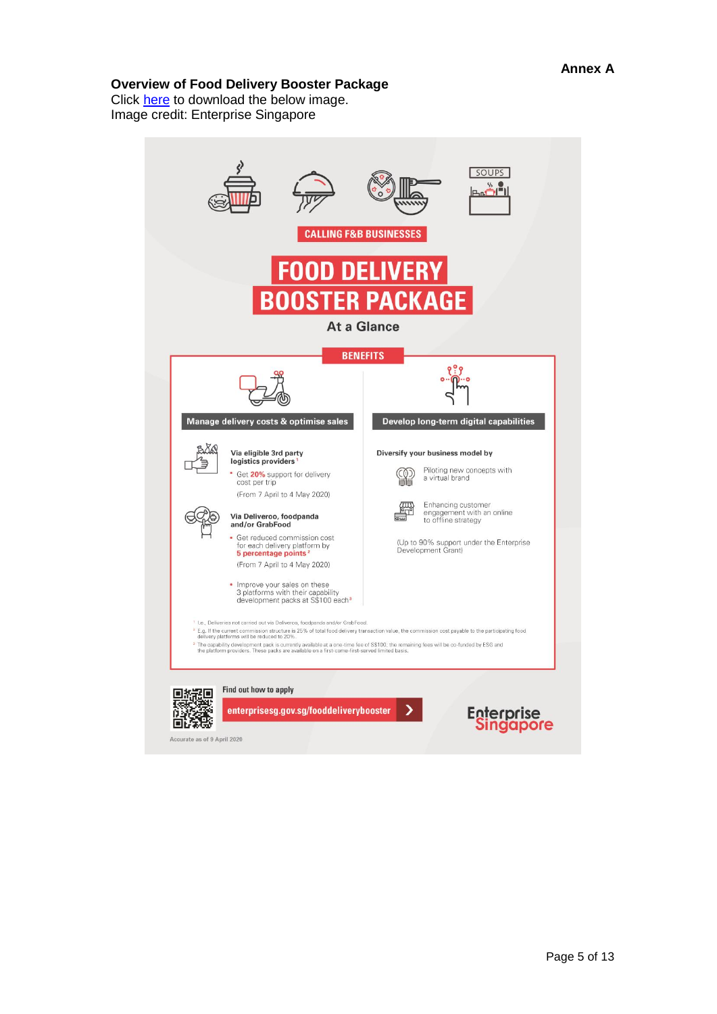## **Overview of Food Delivery Booster Package**

Click <u>here</u> to download the below image. Image credit: Enterprise Singapore

|  |                                                                                                                                                                                                                                                                                                                                                                 | FOOD DELIVERY<br><b>BOOSTER PACKAGE</b><br><b>At a Glance</b>                                                                                                                                                                |
|--|-----------------------------------------------------------------------------------------------------------------------------------------------------------------------------------------------------------------------------------------------------------------------------------------------------------------------------------------------------------------|------------------------------------------------------------------------------------------------------------------------------------------------------------------------------------------------------------------------------|
|  |                                                                                                                                                                                                                                                                                                                                                                 | <b>BENEFITS</b>                                                                                                                                                                                                              |
|  |                                                                                                                                                                                                                                                                                                                                                                 |                                                                                                                                                                                                                              |
|  | Manage delivery costs & optimise sales                                                                                                                                                                                                                                                                                                                          | Develop long-term digital capabilities                                                                                                                                                                                       |
|  | Via eligible 3rd party<br>logistics providers <sup>1</sup><br>Get 20% support for delivery<br>cost per trip<br>(From 7 April to 4 May 2020)<br>Via Deliveroo, foodpanda<br>and/or GrabFood<br>• Get reduced commission cost<br>for each delivery platform by<br>5 percentage points <sup>2</sup><br>(From 7 April to 4 May 2020)<br>Improve your sales on these | Diversify your business model by<br>Piloting new concepts with<br>a virtual brand<br>Enhancing customer<br>engagement with an online<br>to offline strategy<br>(Up to 90% support under the Enterprise<br>Development Grant) |
|  | 3 platforms with their capability<br>development packs at S\$100 each <sup>3</sup><br>1 I.e., Deliveries not carried out via Deliveroo, foodpanda and/or GrabFood.                                                                                                                                                                                              | <sup>2</sup> E.g. If the current commission structure is 25% of total food delivery transaction value, the commission cost payable to the participating food                                                                 |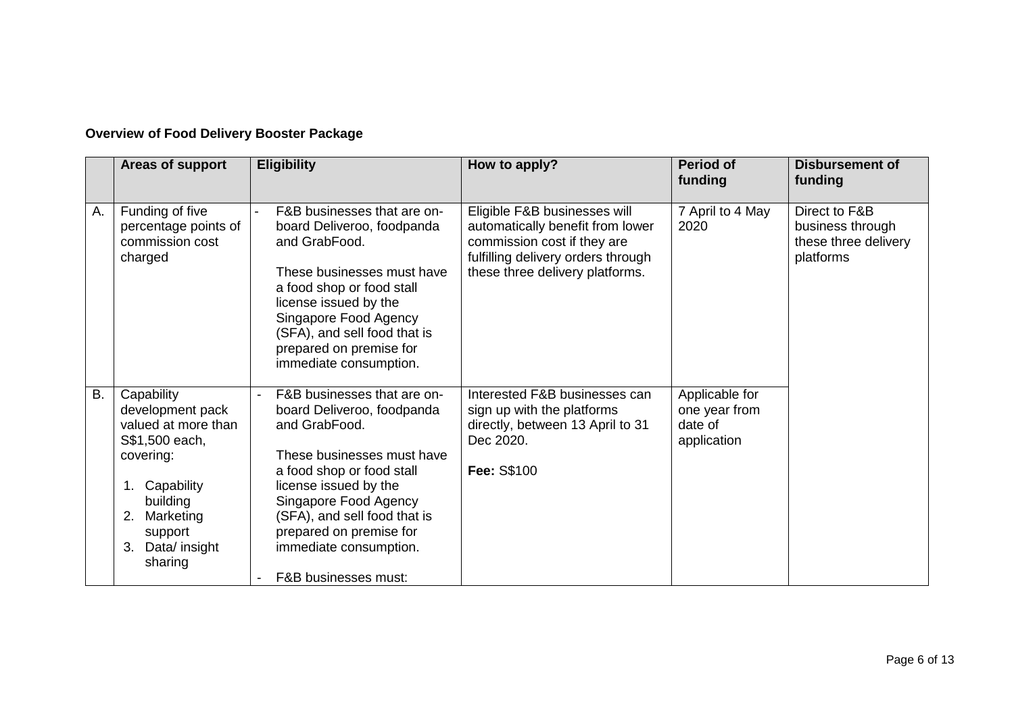## **Overview of Food Delivery Booster Package**

|           | Areas of support                                                                                                                                                            | <b>Eligibility</b>                                                                                                                                                                                                                                                                                              | How to apply?                                                                                                                                                            | <b>Period of</b><br>funding                               | <b>Disbursement of</b><br>funding                                      |
|-----------|-----------------------------------------------------------------------------------------------------------------------------------------------------------------------------|-----------------------------------------------------------------------------------------------------------------------------------------------------------------------------------------------------------------------------------------------------------------------------------------------------------------|--------------------------------------------------------------------------------------------------------------------------------------------------------------------------|-----------------------------------------------------------|------------------------------------------------------------------------|
| Α.        | Funding of five<br>percentage points of<br>commission cost<br>charged                                                                                                       | F&B businesses that are on-<br>board Deliveroo, foodpanda<br>and GrabFood.<br>These businesses must have<br>a food shop or food stall<br>license issued by the<br>Singapore Food Agency<br>(SFA), and sell food that is<br>prepared on premise for<br>immediate consumption.                                    | Eligible F&B businesses will<br>automatically benefit from lower<br>commission cost if they are<br>fulfilling delivery orders through<br>these three delivery platforms. | 7 April to 4 May<br>2020                                  | Direct to F&B<br>business through<br>these three delivery<br>platforms |
| <b>B.</b> | Capability<br>development pack<br>valued at more than<br>S\$1,500 each,<br>covering:<br>1. Capability<br>building<br>2. Marketing<br>support<br>3. Data/ insight<br>sharing | F&B businesses that are on-<br>board Deliveroo, foodpanda<br>and GrabFood.<br>These businesses must have<br>a food shop or food stall<br>license issued by the<br>Singapore Food Agency<br>(SFA), and sell food that is<br>prepared on premise for<br>immediate consumption.<br><b>F&amp;B businesses must:</b> | Interested F&B businesses can<br>sign up with the platforms<br>directly, between 13 April to 31<br>Dec 2020.<br>Fee: S\$100                                              | Applicable for<br>one year from<br>date of<br>application |                                                                        |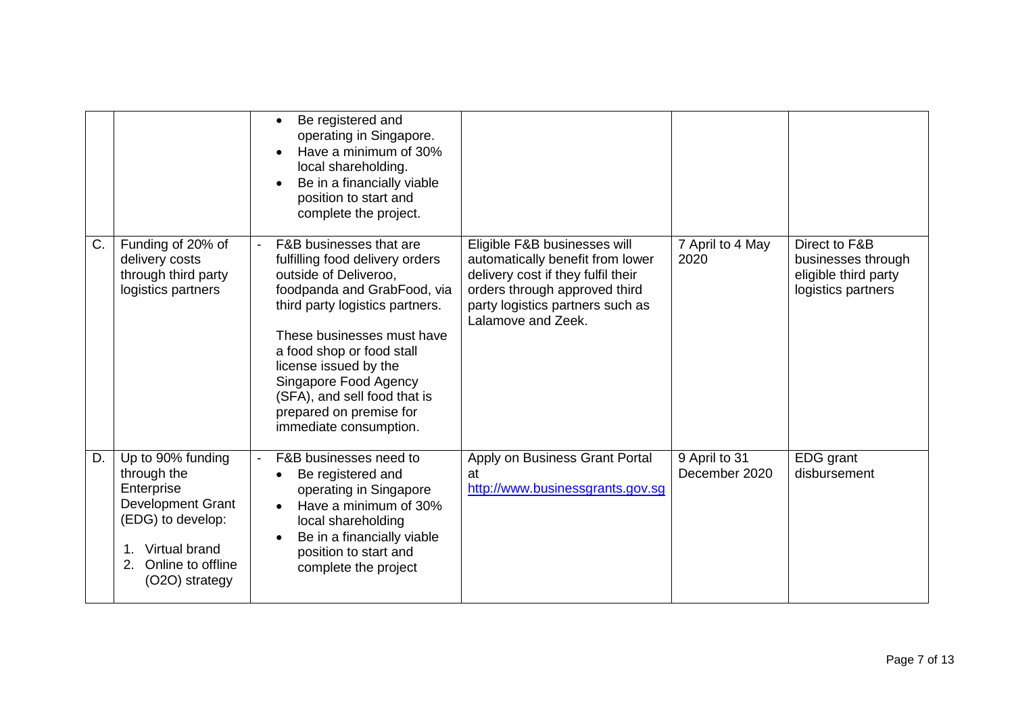|    |                                                                                                                                                               | Be registered and<br>operating in Singapore.<br>Have a minimum of 30%<br>local shareholding.<br>Be in a financially viable<br>position to start and<br>complete the project.                                                                                                                                                                            |                                                                                                                                                                                                   |                                |                                                                                   |
|----|---------------------------------------------------------------------------------------------------------------------------------------------------------------|---------------------------------------------------------------------------------------------------------------------------------------------------------------------------------------------------------------------------------------------------------------------------------------------------------------------------------------------------------|---------------------------------------------------------------------------------------------------------------------------------------------------------------------------------------------------|--------------------------------|-----------------------------------------------------------------------------------|
| C. | Funding of 20% of<br>delivery costs<br>through third party<br>logistics partners                                                                              | F&B businesses that are<br>fulfilling food delivery orders<br>outside of Deliveroo,<br>foodpanda and GrabFood, via<br>third party logistics partners.<br>These businesses must have<br>a food shop or food stall<br>license issued by the<br>Singapore Food Agency<br>(SFA), and sell food that is<br>prepared on premise for<br>immediate consumption. | Eligible F&B businesses will<br>automatically benefit from lower<br>delivery cost if they fulfil their<br>orders through approved third<br>party logistics partners such as<br>Lalamove and Zeek. | 7 April to 4 May<br>2020       | Direct to F&B<br>businesses through<br>eligible third party<br>logistics partners |
| D. | Up to 90% funding<br>through the<br>Enterprise<br><b>Development Grant</b><br>(EDG) to develop:<br>1. Virtual brand<br>2. Online to offline<br>(O2O) strategy | F&B businesses need to<br>Be registered and<br>operating in Singapore<br>Have a minimum of 30%<br>local shareholding<br>Be in a financially viable<br>position to start and<br>complete the project                                                                                                                                                     | Apply on Business Grant Portal<br>at<br>http://www.businessgrants.gov.sg                                                                                                                          | 9 April to 31<br>December 2020 | EDG grant<br>disbursement                                                         |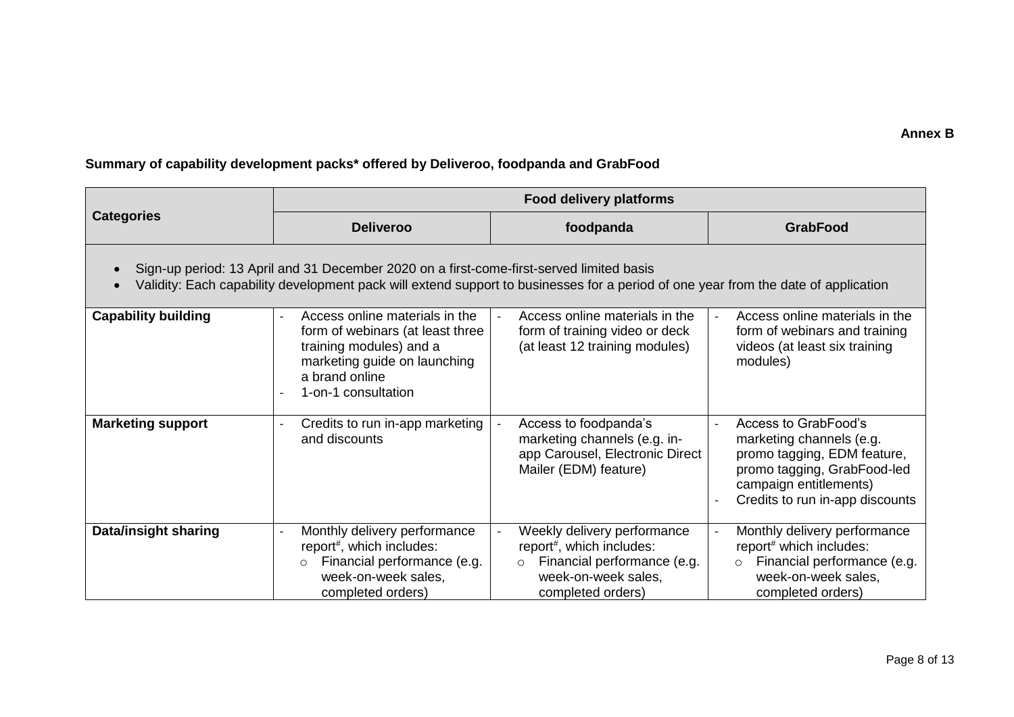## **Summary of capability development packs\* offered by Deliveroo, foodpanda and GrabFood**

|                                                                                                                                                                                                                                | <b>Food delivery platforms</b>                                                                                                                                                           |                                                                                                                                                            |                                                                                                                                                                             |  |  |
|--------------------------------------------------------------------------------------------------------------------------------------------------------------------------------------------------------------------------------|------------------------------------------------------------------------------------------------------------------------------------------------------------------------------------------|------------------------------------------------------------------------------------------------------------------------------------------------------------|-----------------------------------------------------------------------------------------------------------------------------------------------------------------------------|--|--|
| <b>Categories</b>                                                                                                                                                                                                              | <b>Deliveroo</b>                                                                                                                                                                         | foodpanda                                                                                                                                                  | <b>GrabFood</b>                                                                                                                                                             |  |  |
| Sign-up period: 13 April and 31 December 2020 on a first-come-first-served limited basis<br>Validity: Each capability development pack will extend support to businesses for a period of one year from the date of application |                                                                                                                                                                                          |                                                                                                                                                            |                                                                                                                                                                             |  |  |
| <b>Capability building</b>                                                                                                                                                                                                     | Access online materials in the<br>$\overline{a}$<br>form of webinars (at least three<br>training modules) and a<br>marketing guide on launching<br>a brand online<br>1-on-1 consultation | Access online materials in the<br>form of training video or deck<br>(at least 12 training modules)                                                         | Access online materials in the<br>$\overline{\phantom{a}}$<br>form of webinars and training<br>videos (at least six training<br>modules)                                    |  |  |
| <b>Marketing support</b>                                                                                                                                                                                                       | Credits to run in-app marketing<br>and discounts                                                                                                                                         | Access to foodpanda's<br>marketing channels (e.g. in-<br>app Carousel, Electronic Direct<br>Mailer (EDM) feature)                                          | Access to GrabFood's<br>marketing channels (e.g.<br>promo tagging, EDM feature,<br>promo tagging, GrabFood-led<br>campaign entitlements)<br>Credits to run in-app discounts |  |  |
| <b>Data/insight sharing</b>                                                                                                                                                                                                    | Monthly delivery performance<br>report#, which includes:<br>Financial performance (e.g.<br>$\circ$<br>week-on-week sales,<br>completed orders)                                           | Weekly delivery performance<br>report <sup>#</sup> , which includes:<br>Financial performance (e.g.<br>$\circ$<br>week-on-week sales,<br>completed orders) | Monthly delivery performance<br>$\overline{\phantom{a}}$<br>report# which includes:<br>Financial performance (e.g.<br>$\circ$<br>week-on-week sales,<br>completed orders)   |  |  |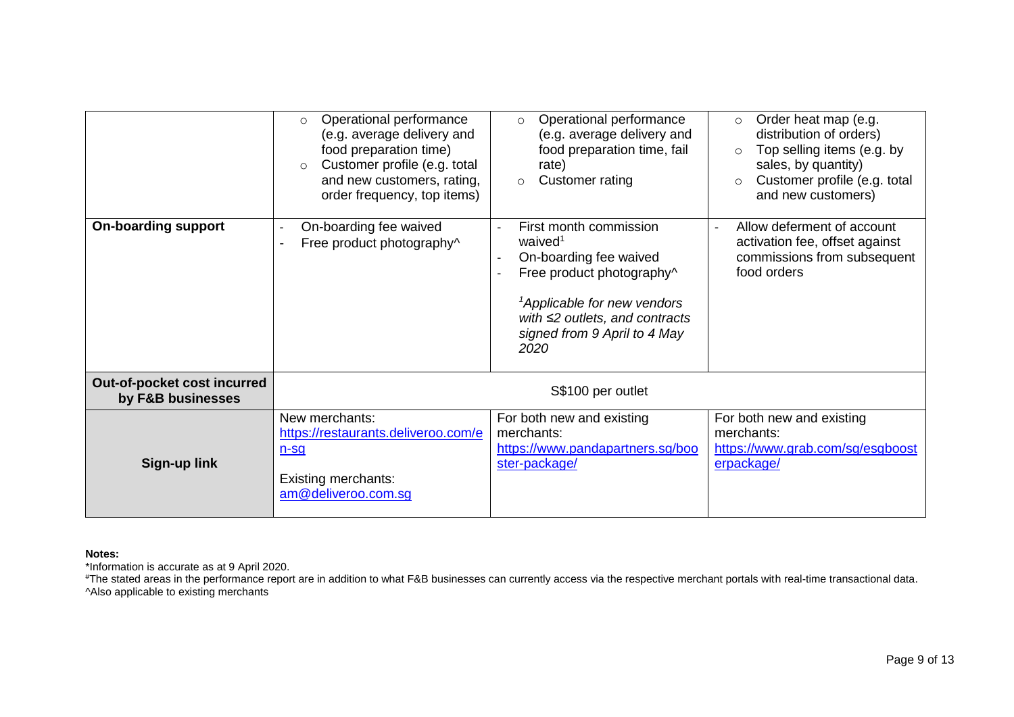|                                                  | Operational performance<br>$\circ$<br>(e.g. average delivery and<br>food preparation time)<br>Customer profile (e.g. total<br>$\circ$<br>and new customers, rating,<br>order frequency, top items) | Operational performance<br>$\circ$<br>(e.g. average delivery and<br>food preparation time, fail<br>rate)<br>Customer rating<br>$\circ$                                                                                          | Order heat map (e.g.<br>$\circ$<br>distribution of orders)<br>Top selling items (e.g. by<br>$\circ$<br>sales, by quantity)<br>Customer profile (e.g. total<br>and new customers) |
|--------------------------------------------------|----------------------------------------------------------------------------------------------------------------------------------------------------------------------------------------------------|---------------------------------------------------------------------------------------------------------------------------------------------------------------------------------------------------------------------------------|----------------------------------------------------------------------------------------------------------------------------------------------------------------------------------|
| <b>On-boarding support</b>                       | On-boarding fee waived<br>Free product photography^                                                                                                                                                | First month commission<br>waived <sup>1</sup><br>On-boarding fee waived<br>Free product photography^<br><sup>1</sup> Applicable for new vendors<br>with $\leq$ 2 outlets, and contracts<br>signed from 9 April to 4 May<br>2020 | Allow deferment of account<br>activation fee, offset against<br>commissions from subsequent<br>food orders                                                                       |
| Out-of-pocket cost incurred<br>by F&B businesses | S\$100 per outlet                                                                                                                                                                                  |                                                                                                                                                                                                                                 |                                                                                                                                                                                  |
| <b>Sign-up link</b>                              | New merchants:<br>https://restaurants.deliveroo.com/e<br>$n-Sq$<br><b>Existing merchants:</b><br>am@deliveroo.com.sg                                                                               | For both new and existing<br>merchants:<br>https://www.pandapartners.sg/boo<br>ster-package/                                                                                                                                    | For both new and existing<br>merchants:<br>https://www.grab.com/sg/esgboost<br>erpackage/                                                                                        |

#### **Notes:**

\*Information is accurate as at 9 April 2020.

#The stated areas in the performance report are in addition to what F&B businesses can currently access via the respective merchant portals with real-time transactional data. ^Also applicable to existing merchants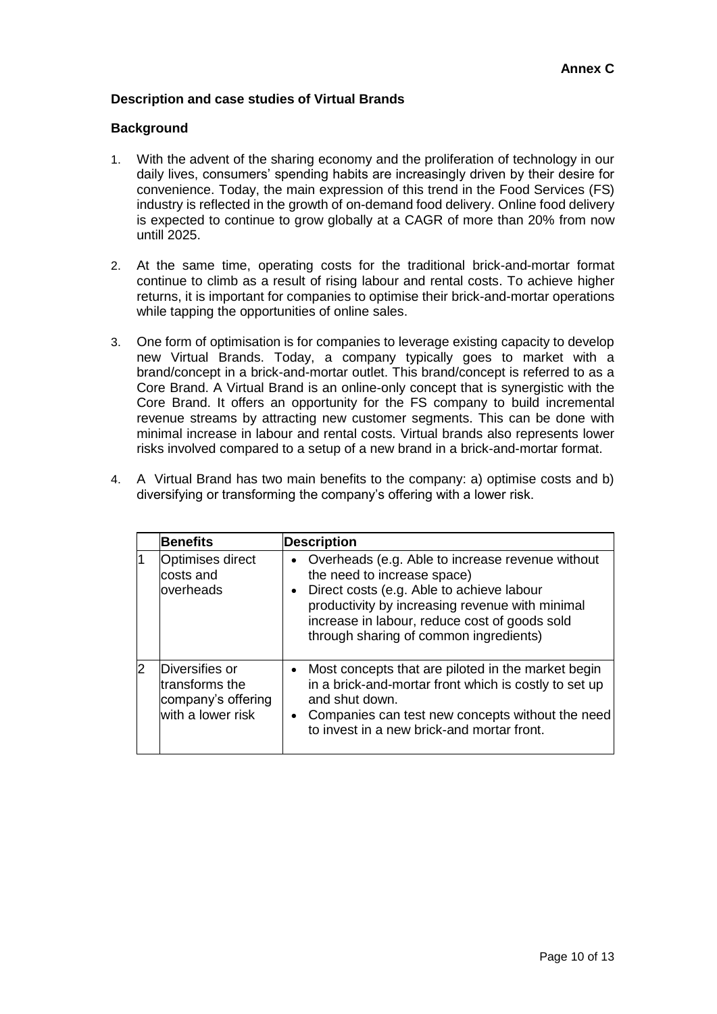## **Description and case studies of Virtual Brands**

#### **Background**

- 1. With the advent of the sharing economy and the proliferation of technology in our daily lives, consumers' spending habits are increasingly driven by their desire for convenience. Today, the main expression of this trend in the Food Services (FS) industry is reflected in the growth of on-demand food delivery. Online food delivery is expected to continue to grow globally at a CAGR of more than 20% from now untill 2025.
- 2. At the same time, operating costs for the traditional brick-and-mortar format continue to climb as a result of rising labour and rental costs. To achieve higher returns, it is important for companies to optimise their brick-and-mortar operations while tapping the opportunities of online sales.
- 3. One form of optimisation is for companies to leverage existing capacity to develop new Virtual Brands. Today, a company typically goes to market with a brand/concept in a brick-and-mortar outlet. This brand/concept is referred to as a Core Brand. A Virtual Brand is an online-only concept that is synergistic with the Core Brand. It offers an opportunity for the FS company to build incremental revenue streams by attracting new customer segments. This can be done with minimal increase in labour and rental costs. Virtual brands also represents lower risks involved compared to a setup of a new brand in a brick-and-mortar format.

|   | <b>Benefits</b>                                                             | <b>Description</b>                                                                                                                                                                                                                                                             |
|---|-----------------------------------------------------------------------------|--------------------------------------------------------------------------------------------------------------------------------------------------------------------------------------------------------------------------------------------------------------------------------|
|   | Optimises direct<br>costs and<br>loverheads                                 | • Overheads (e.g. Able to increase revenue without<br>the need to increase space)<br>• Direct costs (e.g. Able to achieve labour<br>productivity by increasing revenue with minimal<br>increase in labour, reduce cost of goods sold<br>through sharing of common ingredients) |
| 2 | Diversifies or<br>transforms the<br>company's offering<br>with a lower risk | • Most concepts that are piloted in the market begin<br>in a brick-and-mortar front which is costly to set up<br>and shut down.<br>• Companies can test new concepts without the need<br>to invest in a new brick-and mortar front.                                            |

4. A Virtual Brand has two main benefits to the company: a) optimise costs and b) diversifying or transforming the company's offering with a lower risk.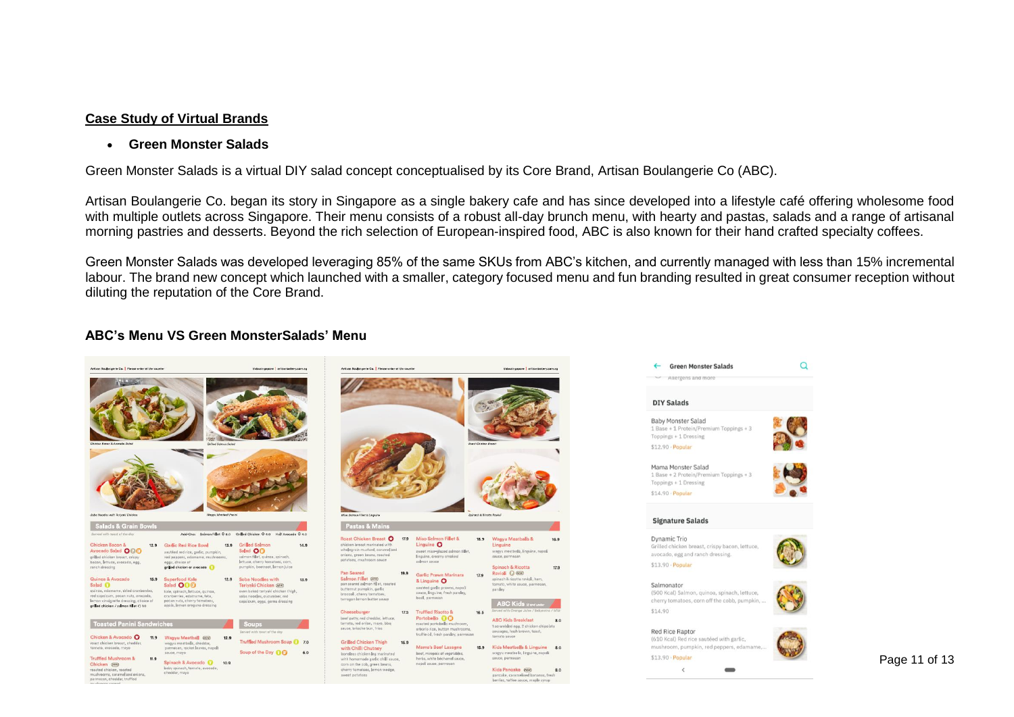## **Case Study of Virtual Brands**

#### **Green Monster Salads**

Green Monster Salads is a virtual DIY salad concept conceptualised by its Core Brand, Artisan Boulangerie Co (ABC).

Artisan Boulangerie Co. began its story in Singapore as a single bakery cafe and has since developed into a lifestyle café offering wholesome food with multiple outlets across Singapore. Their menu consists of a robust all-day brunch menu, with hearty and pastas, salads and a range of artisanal morning pastries and desserts. Beyond the rich selection of European-inspired food, ABC is also known for their hand crafted specialty coffees.

Green Monster Salads was developed leveraging 85% of the same SKUs from ABC's kitchen, and currently managed with less than 15% incremental labour. The brand new concept which launched with a smaller, category focused menu and fun branding resulted in great consumer reception without diluting the reputation of the Core Brand.

#### **ABC's Menu VS Green MonsterSalads' Menu**

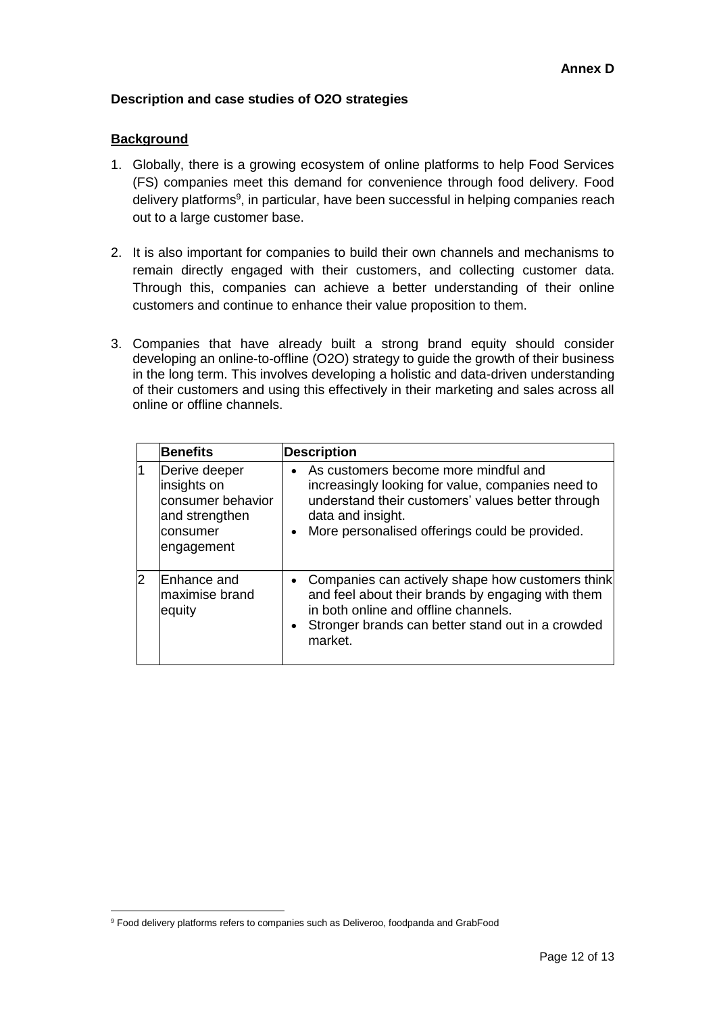## **Description and case studies of O2O strategies**

## **Background**

- 1. Globally, there is a growing ecosystem of online platforms to help Food Services (FS) companies meet this demand for convenience through food delivery. Food delivery platforms<sup>9</sup>, in particular, have been successful in helping companies reach out to a large customer base.
- 2. It is also important for companies to build their own channels and mechanisms to remain directly engaged with their customers, and collecting customer data. Through this, companies can achieve a better understanding of their online customers and continue to enhance their value proposition to them.
- 3. Companies that have already built a strong brand equity should consider developing an online-to-offline (O2O) strategy to guide the growth of their business in the long term. This involves developing a holistic and data-driven understanding of their customers and using this effectively in their marketing and sales across all online or offline channels.

|    | <b>Benefits</b>                                                                               | <b>Description</b>                                                                                                                                                                                                                 |
|----|-----------------------------------------------------------------------------------------------|------------------------------------------------------------------------------------------------------------------------------------------------------------------------------------------------------------------------------------|
|    | Derive deeper<br>insights on<br>consumer behavior<br>and strengthen<br>consumer<br>engagement | As customers become more mindful and<br>increasingly looking for value, companies need to<br>understand their customers' values better through<br>data and insight.<br>More personalised offerings could be provided.<br>$\bullet$ |
| 12 | Enhance and<br>lmaximise brand<br>equity                                                      | • Companies can actively shape how customers think<br>and feel about their brands by engaging with them<br>in both online and offline channels.<br>Stronger brands can better stand out in a crowded<br>$\bullet$<br>market.       |

 $\overline{a}$ <sup>9</sup> Food delivery platforms refers to companies such as Deliveroo, foodpanda and GrabFood